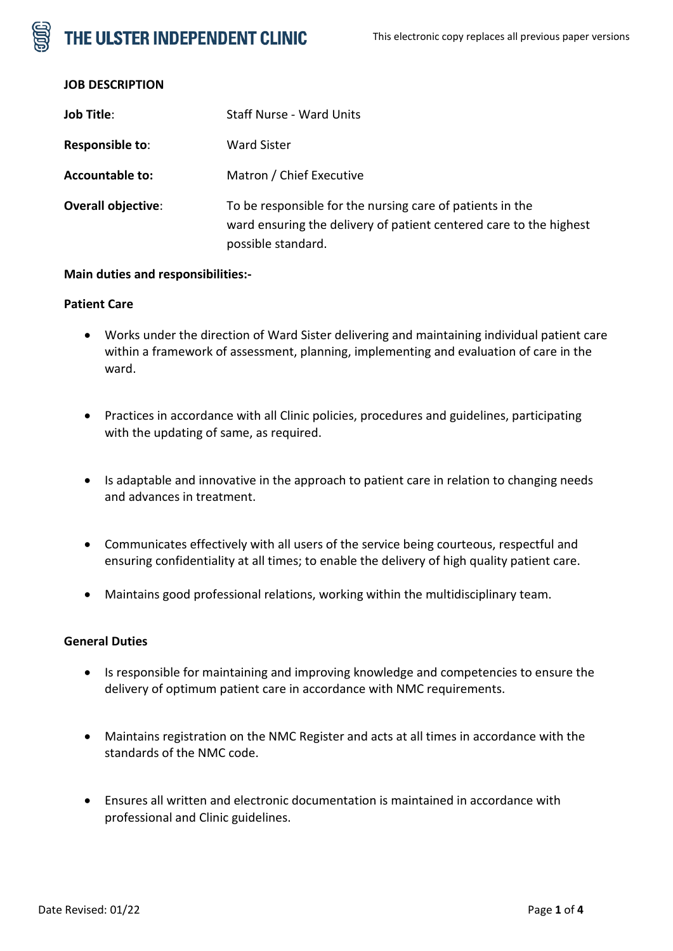# THE ULSTER INDEPENDENT CLINIC



| <b>Job Title:</b>         | <b>Staff Nurse - Ward Units</b>                                                                                                                       |
|---------------------------|-------------------------------------------------------------------------------------------------------------------------------------------------------|
| Responsible to:           | Ward Sister                                                                                                                                           |
| <b>Accountable to:</b>    | Matron / Chief Executive                                                                                                                              |
| <b>Overall objective:</b> | To be responsible for the nursing care of patients in the<br>ward ensuring the delivery of patient centered care to the highest<br>possible standard. |

#### **Main duties and responsibilities:-**

#### **Patient Care**

- Works under the direction of Ward Sister delivering and maintaining individual patient care within a framework of assessment, planning, implementing and evaluation of care in the ward.
- Practices in accordance with all Clinic policies, procedures and guidelines, participating with the updating of same, as required.
- Is adaptable and innovative in the approach to patient care in relation to changing needs and advances in treatment.
- Communicates effectively with all users of the service being courteous, respectful and ensuring confidentiality at all times; to enable the delivery of high quality patient care.
- Maintains good professional relations, working within the multidisciplinary team.

### **General Duties**

- Is responsible for maintaining and improving knowledge and competencies to ensure the delivery of optimum patient care in accordance with NMC requirements.
- Maintains registration on the NMC Register and acts at all times in accordance with the standards of the NMC code.
- Ensures all written and electronic documentation is maintained in accordance with professional and Clinic guidelines.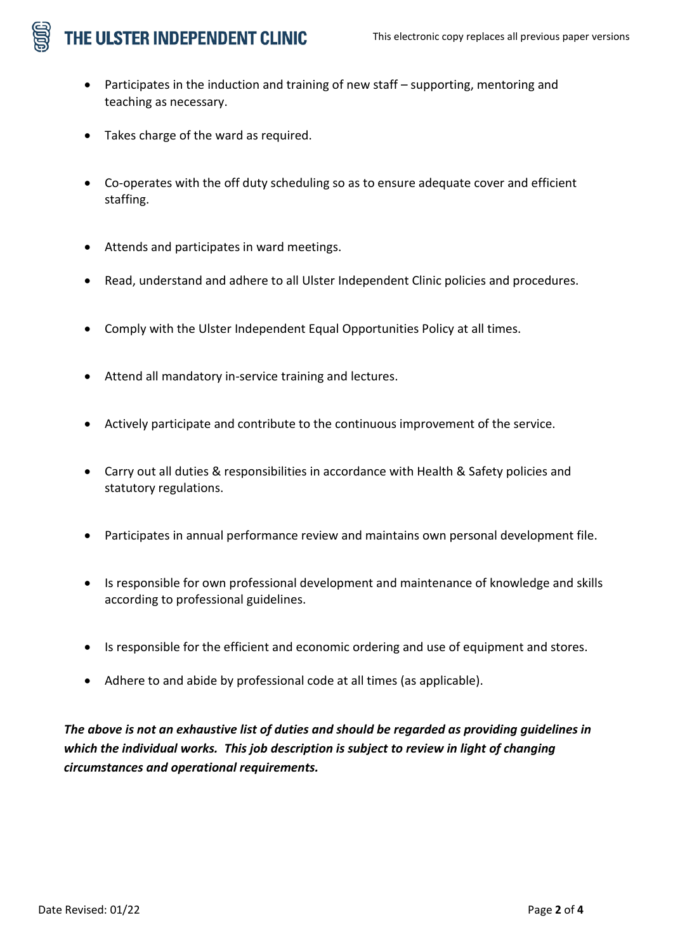# THE ULSTER INDEPENDENT CLINIC

- Participates in the induction and training of new staff supporting, mentoring and teaching as necessary.
- Takes charge of the ward as required.
- Co-operates with the off duty scheduling so as to ensure adequate cover and efficient staffing.
- Attends and participates in ward meetings.
- Read, understand and adhere to all Ulster Independent Clinic policies and procedures.
- Comply with the Ulster Independent Equal Opportunities Policy at all times.
- Attend all mandatory in-service training and lectures.
- Actively participate and contribute to the continuous improvement of the service.
- Carry out all duties & responsibilities in accordance with Health & Safety policies and statutory regulations.
- Participates in annual performance review and maintains own personal development file.
- Is responsible for own professional development and maintenance of knowledge and skills according to professional guidelines.
- Is responsible for the efficient and economic ordering and use of equipment and stores.
- Adhere to and abide by professional code at all times (as applicable).

*The above is not an exhaustive list of duties and should be regarded as providing guidelines in which the individual works. This job description is subject to review in light of changing circumstances and operational requirements.*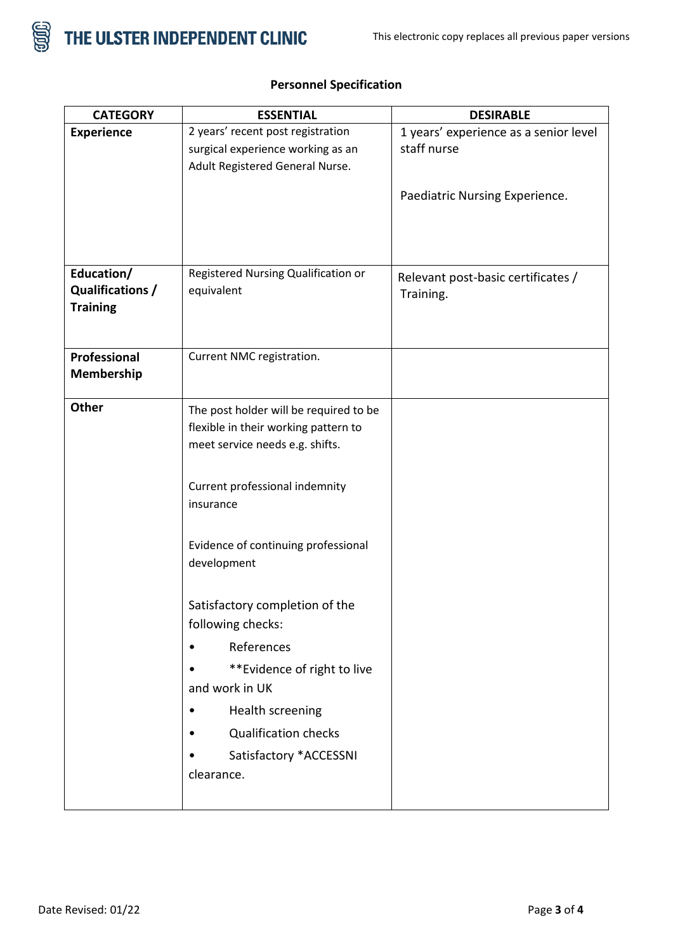

| <b>CATEGORY</b>                                   | <b>ESSENTIAL</b>                                                                                                  | <b>DESIRABLE</b>                                                                       |
|---------------------------------------------------|-------------------------------------------------------------------------------------------------------------------|----------------------------------------------------------------------------------------|
| <b>Experience</b>                                 | 2 years' recent post registration<br>surgical experience working as an<br>Adult Registered General Nurse.         | 1 years' experience as a senior level<br>staff nurse<br>Paediatric Nursing Experience. |
|                                                   |                                                                                                                   |                                                                                        |
| Education/<br>Qualifications /<br><b>Training</b> | Registered Nursing Qualification or<br>equivalent                                                                 | Relevant post-basic certificates /<br>Training.                                        |
| Professional<br>Membership                        | Current NMC registration.                                                                                         |                                                                                        |
| Other                                             | The post holder will be required to be<br>flexible in their working pattern to<br>meet service needs e.g. shifts. |                                                                                        |
|                                                   | Current professional indemnity<br>insurance                                                                       |                                                                                        |
|                                                   | Evidence of continuing professional<br>development                                                                |                                                                                        |
|                                                   | Satisfactory completion of the<br>following checks:                                                               |                                                                                        |
|                                                   | References<br>$\bullet$                                                                                           |                                                                                        |
|                                                   | **Evidence of right to live<br>and work in UK                                                                     |                                                                                        |
|                                                   | Health screening                                                                                                  |                                                                                        |
|                                                   | <b>Qualification checks</b>                                                                                       |                                                                                        |
|                                                   | Satisfactory *ACCESSNI                                                                                            |                                                                                        |
|                                                   | clearance.                                                                                                        |                                                                                        |

### **Personnel Specification**